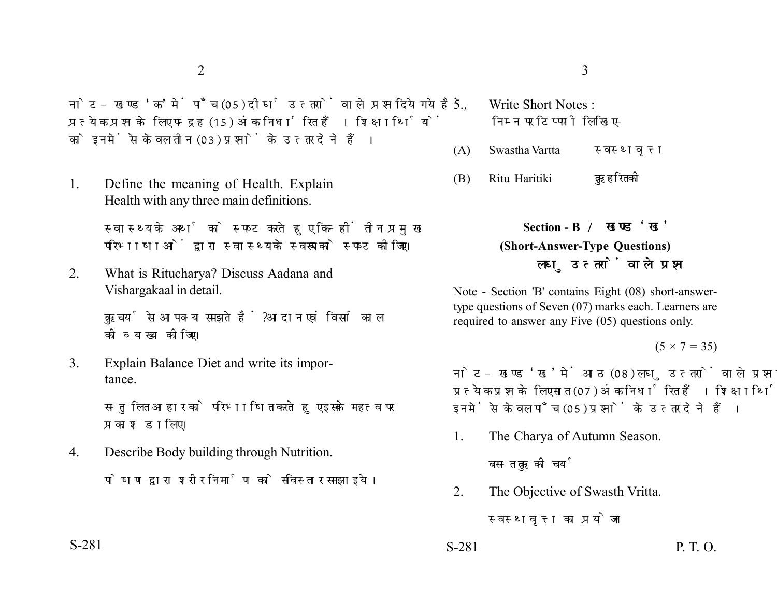नोट- खण्ड 'क' में पाँच (05) दीर्घ उत्तरों वाले प्रश्न दिये गये हैं. प्रत्येक प्रश्न के लिए पन्द्रह (15) अंक निर्धारित हैं। शिक्षार्थियों को इनमें से केवल तीन (03) प्रश्नों के उत्तर देने हैं।

1. Define the meaning of Health. Explain Health with any three main definitions.

> स्वास्थ्य के अर्थ को स्पष्ट करते हुए किन्हीं तीन प्रमुख परिभाषाओं द्वारा स्वास्थ्य के स्वरूप को स्पष्ट कीजिए।

2. What is Ritucharya? Discuss Aadana and Vishargakaal in detail.

> ऋतुचर्या से आप क्या समझते हैं ? आदान एवं विसर्ग काल को व्याख्या कोजिए।

3. Explain Balance Diet and write its importance.

> सन्तुलित आहार को परिभाषित करते हुए इसके महत्व पर प्रकाश डालिए।

4. Describe Body building through Nutrition. पोषण द्वारा शरीर निर्माण को सविस्तार समझाइये।

- 5. Write Short Notes : निम्न पर टिप्पणी लिखिए-
- (A) Swastha Vartta
- (B) Ritu Haritiki

**Section - B (Short-Answer-Type Questions)** लघ उत्तरों वाले प्रश्न

Note - Section 'B' contains Eight (08) short-answertype questions of Seven (07) marks each. Learners are required to answer any Five (05) questions only.

 $(5 \times 7 = 35)$ 

नोट- खण्ड 'ख' में आठ (08) लघु उत्तरों वाले प्रश्न दिये गये हैं. प्रत्येक प्रश्न के लिए सात (07) अंक निर्धारित हैं। शिक्षार्थियों को इनमें से केवल पाँच (05) प्रश्नों के उत्तर देने हैं।

1. The Charya of Autumn Season.

बसन्त ऋतु की चर्या

2. The Objective of Swasth Vritta.

स्वस्थवृत्त का प्रयोजन

S-281 P. T. O.